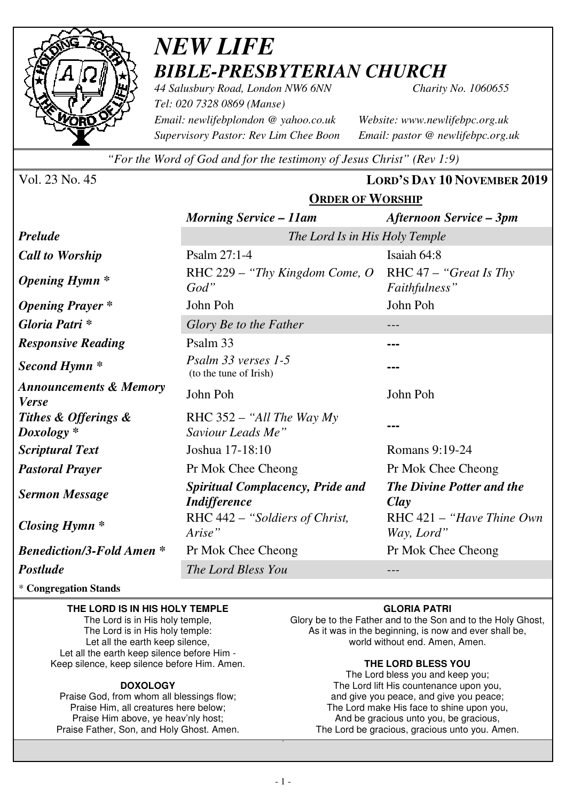

# *NEW LIFE BIBLE-PRESBYTERIAN CHURCH 44 Salusbury Road, London NW6 6NN Charity No. 1060655*

*Tel: 020 7328 0869 (Manse) Email: newlifebplondon @ yahoo.co.uk Website: www.newlifebpc.org.uk Supervisory Pastor: Rev Lim Chee Boon Email: pastor @ newlifebpc.org.uk* 

*"For the Word of God and for the testimony of Jesus Christ" (Rev 1:9)*

Vol. 23 No. 45 **LORD'S DAY 10 NOVEMBER 2019**

|                                                   | <b>ORDER OF WORSHIP</b>                                        |                                                 |  |  |
|---------------------------------------------------|----------------------------------------------------------------|-------------------------------------------------|--|--|
|                                                   | <b>Morning Service – 11am</b>                                  | <b>Afternoon Service – 3pm</b>                  |  |  |
| <b>Prelude</b>                                    | The Lord Is in His Holy Temple                                 |                                                 |  |  |
| <b>Call to Worship</b>                            | Psalm 27:1-4                                                   | Isaiah 64:8                                     |  |  |
| <i><b>Opening Hymn</b></i> *                      | RHC 229 – "Thy Kingdom Come, $O$<br>God"                       | RHC 47 - "Great Is Thy<br>Faithfulness"         |  |  |
| <b>Opening Prayer</b> *                           | John Poh                                                       | John Poh                                        |  |  |
| Gloria Patri *                                    | Glory Be to the Father                                         |                                                 |  |  |
| <b>Responsive Reading</b>                         | Psalm 33                                                       |                                                 |  |  |
| Second Hymn <sup>*</sup>                          | Psalm 33 verses 1-5<br>(to the tune of Irish)                  |                                                 |  |  |
| <b>Announcements &amp; Memory</b><br><b>Verse</b> | John Poh                                                       | John Poh                                        |  |  |
| Tithes & Offerings &<br>$Doxology *$              | RHC $352 -$ "All The Way My<br>Saviour Leads Me"               |                                                 |  |  |
| <b>Scriptural Text</b>                            | Joshua 17-18:10                                                | Romans 9:19-24                                  |  |  |
| <b>Pastoral Prayer</b>                            | Pr Mok Chee Cheong                                             | Pr Mok Chee Cheong                              |  |  |
| <b>Sermon Message</b>                             | <b>Spiritual Complacency, Pride and</b><br><b>Indifference</b> | <b>The Divine Potter and the</b><br><b>Clay</b> |  |  |
| Closing Hymn $*$                                  | RHC 442 - "Soldiers of Christ,<br>Arise"                       | RHC $421 -$ "Have Thine Own"<br>Way, Lord"      |  |  |
| <b>Benediction/3-Fold Amen*</b>                   | Pr Mok Chee Cheong                                             | Pr Mok Chee Cheong                              |  |  |
| Postlude                                          | The Lord Bless You                                             |                                                 |  |  |

\* **Congregation Stands** 

### **THE LORD IS IN HIS HOLY TEMPLE**

The Lord is in His holy temple, The Lord is in His holy temple: Let all the earth keep silence, Let all the earth keep silence before Him - Keep silence, keep silence before Him. Amen.

### **DOXOLOGY**

Praise God, from whom all blessings flow; Praise Him, all creatures here below; Praise Him above, ye heav'nly host; Praise Father, Son, and Holy Ghost. Amen.

### **GLORIA PATRI**

Glory be to the Father and to the Son and to the Holy Ghost, As it was in the beginning, is now and ever shall be, world without end. Amen, Amen.

#### **THE LORD BLESS YOU**

The Lord bless you and keep you; The Lord lift His countenance upon you, and give you peace, and give you peace; The Lord make His face to shine upon you, And be gracious unto you, be gracious, The Lord be gracious, gracious unto you. Amen.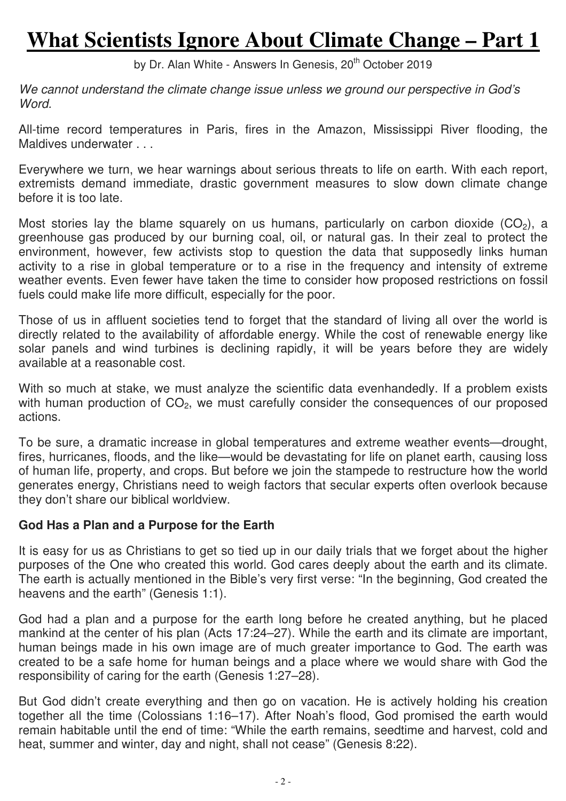# **What Scientists Ignore About Climate Change – Part 1**

by Dr. Alan White - Answers In Genesis, 20<sup>th</sup> October 2019

*We cannot understand the climate change issue unless we ground our perspective in God's Word.* 

All-time record temperatures in Paris, fires in the Amazon, Mississippi River flooding, the Maldives underwater . . .

Everywhere we turn, we hear warnings about serious threats to life on earth. With each report, extremists demand immediate, drastic government measures to slow down climate change before it is too late.

Most stories lay the blame squarely on us humans, particularly on carbon dioxide  $(CO<sub>2</sub>)$ , a greenhouse gas produced by our burning coal, oil, or natural gas. In their zeal to protect the environment, however, few activists stop to question the data that supposedly links human activity to a rise in global temperature or to a rise in the frequency and intensity of extreme weather events. Even fewer have taken the time to consider how proposed restrictions on fossil fuels could make life more difficult, especially for the poor.

Those of us in affluent societies tend to forget that the standard of living all over the world is directly related to the availability of affordable energy. While the cost of renewable energy like solar panels and wind turbines is declining rapidly, it will be years before they are widely available at a reasonable cost.

With so much at stake, we must analyze the scientific data evenhandedly. If a problem exists with human production of  $CO<sub>2</sub>$ , we must carefully consider the consequences of our proposed actions.

To be sure, a dramatic increase in global temperatures and extreme weather events—drought, fires, hurricanes, floods, and the like—would be devastating for life on planet earth, causing loss of human life, property, and crops. But before we join the stampede to restructure how the world generates energy, Christians need to weigh factors that secular experts often overlook because they don't share our biblical worldview.

## **God Has a Plan and a Purpose for the Earth**

It is easy for us as Christians to get so tied up in our daily trials that we forget about the higher purposes of the One who created this world. God cares deeply about the earth and its climate. The earth is actually mentioned in the Bible's very first verse: "In the beginning, God created the heavens and the earth" (Genesis 1:1).

God had a plan and a purpose for the earth long before he created anything, but he placed mankind at the center of his plan (Acts 17:24–27). While the earth and its climate are important, human beings made in his own image are of much greater importance to God. The earth was created to be a safe home for human beings and a place where we would share with God the responsibility of caring for the earth (Genesis 1:27–28).

But God didn't create everything and then go on vacation. He is actively holding his creation together all the time (Colossians 1:16–17). After Noah's flood, God promised the earth would remain habitable until the end of time: "While the earth remains, seedtime and harvest, cold and heat, summer and winter, day and night, shall not cease" (Genesis 8:22).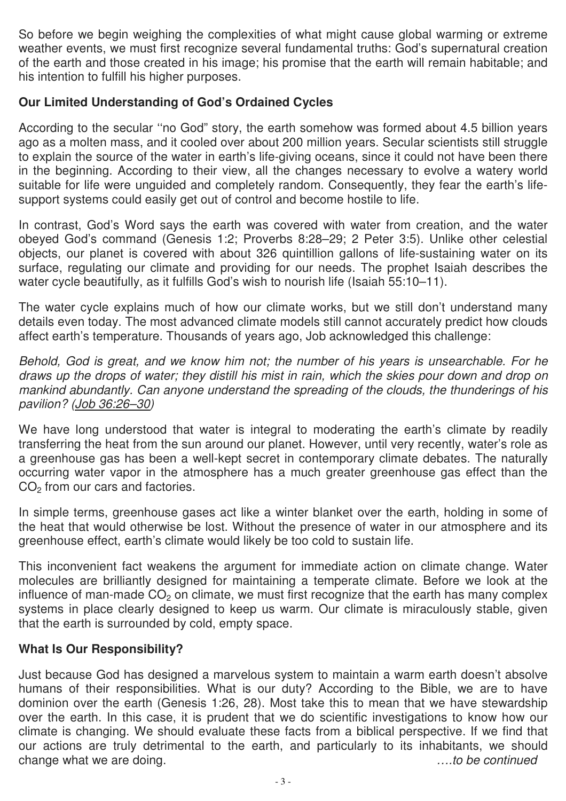So before we begin weighing the complexities of what might cause global warming or extreme weather events, we must first recognize several fundamental truths: God's supernatural creation of the earth and those created in his image; his promise that the earth will remain habitable; and his intention to fulfill his higher purposes.

# **Our Limited Understanding of God's Ordained Cycles**

According to the secular ''no God" story, the earth somehow was formed about 4.5 billion years ago as a molten mass, and it cooled over about 200 million years. Secular scientists still struggle to explain the source of the water in earth's life-giving oceans, since it could not have been there in the beginning. According to their view, all the changes necessary to evolve a watery world suitable for life were unguided and completely random. Consequently, they fear the earth's lifesupport systems could easily get out of control and become hostile to life.

In contrast, God's Word says the earth was covered with water from creation, and the water obeyed God's command (Genesis 1:2; Proverbs 8:28–29; 2 Peter 3:5). Unlike other celestial objects, our planet is covered with about 326 quintillion gallons of life-sustaining water on its surface, regulating our climate and providing for our needs. The prophet Isaiah describes the water cycle beautifully, as it fulfills God's wish to nourish life (Isaiah 55:10–11).

The water cycle explains much of how our climate works, but we still don't understand many details even today. The most advanced climate models still cannot accurately predict how clouds affect earth's temperature. Thousands of years ago, Job acknowledged this challenge:

*Behold, God is great, and we know him not; the number of his years is unsearchable. For he draws up the drops of water; they distill his mist in rain, which the skies pour down and drop on mankind abundantly. Can anyone understand the spreading of the clouds, the thunderings of his pavilion? (Job 36:26–30)*

We have long understood that water is integral to moderating the earth's climate by readily transferring the heat from the sun around our planet. However, until very recently, water's role as a greenhouse gas has been a well-kept secret in contemporary climate debates. The naturally occurring water vapor in the atmosphere has a much greater greenhouse gas effect than the CO<sub>2</sub> from our cars and factories.

In simple terms, greenhouse gases act like a winter blanket over the earth, holding in some of the heat that would otherwise be lost. Without the presence of water in our atmosphere and its greenhouse effect, earth's climate would likely be too cold to sustain life.

This inconvenient fact weakens the argument for immediate action on climate change. Water molecules are brilliantly designed for maintaining a temperate climate. Before we look at the influence of man-made  $CO<sub>2</sub>$  on climate, we must first recognize that the earth has many complex systems in place clearly designed to keep us warm. Our climate is miraculously stable, given that the earth is surrounded by cold, empty space.

## **What Is Our Responsibility?**

Just because God has designed a marvelous system to maintain a warm earth doesn't absolve humans of their responsibilities. What is our duty? According to the Bible, we are to have dominion over the earth (Genesis 1:26, 28). Most take this to mean that we have stewardship over the earth. In this case, it is prudent that we do scientific investigations to know how our climate is changing. We should evaluate these facts from a biblical perspective. If we find that our actions are truly detrimental to the earth, and particularly to its inhabitants, we should change what we are doing. *….to be continued*